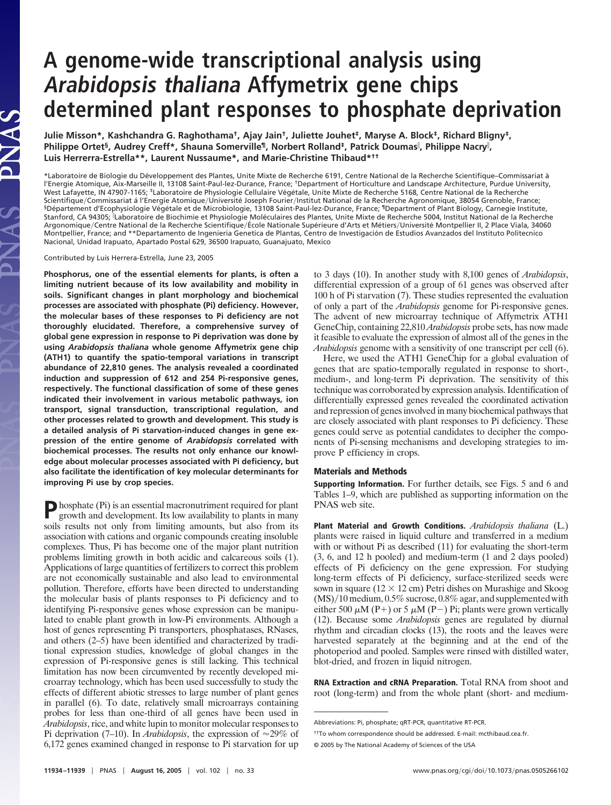## **A genome-wide transcriptional analysis using Arabidopsis thaliana Affymetrix gene chips determined plant responses to phosphate deprivation**

**Julie Misson\*, Kashchandra G. Raghothama†, Ajay Jain†, Juliette Jouhet‡, Maryse A. Block‡, Richard Bligny‡, Philippe Ortet§, Audrey Creff\*, Shauna Somerville¶, Norbert Rolland‡, Patrick Doumas , Philippe Nacry , Luis Herrerra-Estrella\*\*, Laurent Nussaume\*, and Marie-Christine Thibaud\*††**

\*Laboratoire de Biologie du Développement des Plantes, Unite Mixte de Recherche 6191, Centre National de la Recherche Scientifique–Commissariat à l'Energie Atomique, Aix-Marseille II, 13108 Saint-Paul-lez-Durance, France; †Department of Horticulture and Landscape Architecture, Purdue University, West Lafayette, IN 47907-1165; <sup>‡</sup>Laboratoire de Physiologie Cellulaire Végétale, Unite Mixte de Recherche 5168, Centre National de la Recherche Scientifique/Commissariat á l'Energie Atomique/Université Joseph Fourier/Institut National de la Recherche Agronomique, 38054 Grenoble, France; <sup>§</sup>Département d'Ecophysiologie Végétale et de Microbiologie, 13108 Saint-Paul-lez-Durance, France; <sup>¶</sup>Department of Plant Biology, Carnegie Institute, Stanford, CA 94305; Laboratoire de Biochimie et Physiologie Mole´culaires des Plantes, Unite Mixte de Recherche 5004, Institut National de la Recherche Argonomique/Centre National de la Recherche Scientifique/École Nationale Supérieure d'Arts et Métiers/Université Montpellier II, 2 Place Viala, 34060 Montpellier, France; and \*\*Departamento de Ingenieria Genetica de Plantas, Centro de Investigación de Estudios Avanzados del Instituto Politecnico Nacional, Unidad Irapuato, Apartado Postal 629, 36500 Irapuato, Guanajuato, Mexico

Contributed by Luis Herrera-Estrella, June 23, 2005

PNAS

**Phosphorus, one of the essential elements for plants, is often a limiting nutrient because of its low availability and mobility in soils. Significant changes in plant morphology and biochemical processes are associated with phosphate (Pi) deficiency. However, the molecular bases of these responses to Pi deficiency are not thoroughly elucidated. Therefore, a comprehensive survey of global gene expression in response to Pi deprivation was done by using** *Arabidopsis thaliana* **whole genome Affymetrix gene chip (ATH1) to quantify the spatio-temporal variations in transcript abundance of 22,810 genes. The analysis revealed a coordinated induction and suppression of 612 and 254 Pi-responsive genes, respectively. The functional classification of some of these genes indicated their involvement in various metabolic pathways, ion transport, signal transduction, transcriptional regulation, and other processes related to growth and development. This study is a detailed analysis of Pi starvation-induced changes in gene expression of the entire genome of** *Arabidopsis* **correlated with biochemical processes. The results not only enhance our knowledge about molecular processes associated with Pi deficiency, but also facilitate the identification of key molecular determinants for improving Pi use by crop species.**

**P**hosphate (Pi) is an essential macronutriment required for plant growth and development. Its low availability to plants in many soils results not only from limiting amounts, but also from its association with cations and organic compounds creating insoluble complexes. Thus, Pi has become one of the major plant nutrition problems limiting growth in both acidic and calcareous soils (1). Applications of large quantities of fertilizers to correct this problem are not economically sustainable and also lead to environmental pollution. Therefore, efforts have been directed to understanding the molecular basis of plants responses to Pi deficiency and to identifying Pi-responsive genes whose expression can be manipulated to enable plant growth in low-Pi environments. Although a host of genes representing Pi transporters, phosphatases, RNases, and others (2–5) have been identified and characterized by traditional expression studies, knowledge of global changes in the expression of Pi-responsive genes is still lacking. This technical limitation has now been circumvented by recently developed microarray technology, which has been used successfully to study the effects of different abiotic stresses to large number of plant genes in parallel (6). To date, relatively small microarrays containing probes for less than one-third of all genes have been used in *Arabidopsis*, rice, and white lupin to monitor molecular responses to Pi deprivation (7–10). In *Arabidopsis*, the expression of  $\approx$ 29% of 6,172 genes examined changed in response to Pi starvation for up to 3 days (10). In another study with 8,100 genes of *Arabidopsis*, differential expression of a group of 61 genes was observed after 100 h of Pi starvation (7). These studies represented the evaluation of only a part of the *Arabidopsis* genome for Pi-responsive genes. The advent of new microarray technique of Affymetrix ATH1 GeneChip, containing 22,810 *Arabidopsis* probe sets, has now made it feasible to evaluate the expression of almost all of the genes in the *Arabidopsis* genome with a sensitivity of one transcript per cell (6).

Here, we used the ATH1 GeneChip for a global evaluation of genes that are spatio-temporally regulated in response to short-, medium-, and long-term Pi deprivation. The sensitivity of this technique was corroborated by expression analysis. Identification of differentially expressed genes revealed the coordinated activation and repression of genes involved in many biochemical pathways that are closely associated with plant responses to Pi deficiency. These genes could serve as potential candidates to decipher the components of Pi-sensing mechanisms and developing strategies to improve P efficiency in crops.

## **Materials and Methods**

**Supporting Information.** For further details, see Figs. 5 and 6 and Tables 1–9, which are published as supporting information on the PNAS web site.

**Plant Material and Growth Conditions.** *Arabidopsis thaliana* (L.) plants were raised in liquid culture and transferred in a medium with or without Pi as described  $(11)$  for evaluating the short-term (3, 6, and 12 h pooled) and medium-term (1 and 2 days pooled) effects of Pi deficiency on the gene expression. For studying long-term effects of Pi deficiency, surface-sterilized seeds were sown in square ( $12 \times 12$  cm) Petri dishes on Murashige and Skoog  $(MS)/10$  medium, 0.5% sucrose, 0.8% agar, and supplemented with either 500  $\mu$ M (P+) or 5  $\mu$ M (P-) Pi; plants were grown vertically (12). Because some *Arabidopsis* genes are regulated by diurnal rhythm and circadian clocks (13), the roots and the leaves were harvested separately at the beginning and at the end of the photoperiod and pooled. Samples were rinsed with distilled water, blot-dried, and frozen in liquid nitrogen.

**RNA Extraction and cRNA Preparation.** Total RNA from shoot and root (long-term) and from the whole plant (short- and medium-

Abbreviations: Pi, phosphate; qRT-PCR, quantitative RT-PCR.

<sup>††</sup>To whom correspondence should be addressed. E-mail: mcthibaud.cea.fr.

<sup>© 2005</sup> by The National Academy of Sciences of the USA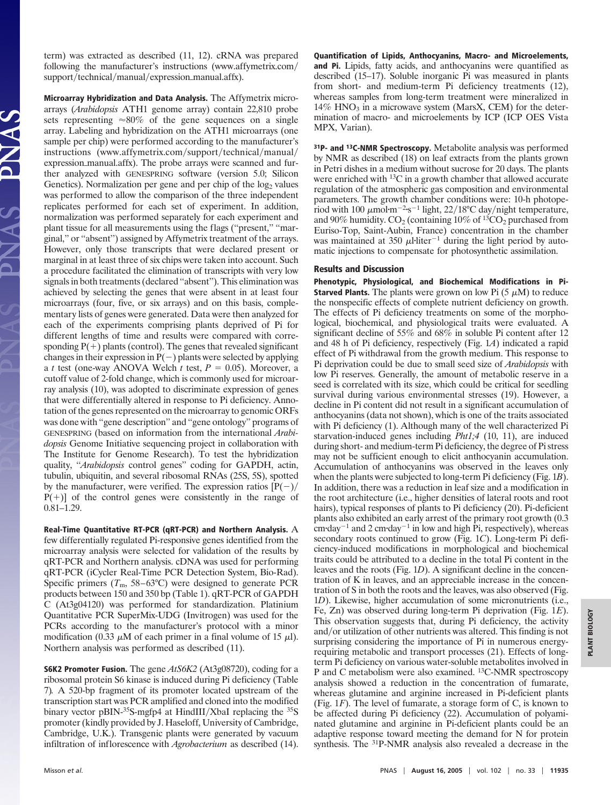term) was extracted as described (11, 12). cRNA was prepared following the manufacturer's instructions (www.affymetrix.com/ support/technical/manual/expression\_manual.affx).

**Microarray Hybridization and Data Analysis.** The Affymetrix microarrays (*Arabidopsis* ATH1 genome array) contain 22,810 probe sets representing  $\approx 80\%$  of the gene sequences on a single array. Labeling and hybridization on the ATH1 microarrays (one sample per chip) were performed according to the manufacturer's instructions (www.affymetrix.com/support/technical/manual/ expression\_manual.affx). The probe arrays were scanned and further analyzed with GENESPRING software (version 5.0; Silicon Genetics). Normalization per gene and per chip of the log<sub>2</sub> values was performed to allow the comparison of the three independent replicates performed for each set of experiment. In addition, normalization was performed separately for each experiment and plant tissue for all measurements using the flags (''present,'' ''marginal,'' or ''absent'') assigned by Affymetrix treatment of the arrays. However, only those transcripts that were declared present or marginal in at least three of six chips were taken into account. Such a procedure facilitated the elimination of transcripts with very low signals in both treatments (declared ''absent''). This elimination was achieved by selecting the genes that were absent in at least four microarrays (four, five, or six arrays) and on this basis, complementary lists of genes were generated. Data were then analyzed for each of the experiments comprising plants deprived of Pi for different lengths of time and results were compared with corresponding  $P(+)$  plants (control). The genes that revealed significant changes in their expression in  $P(-)$  plants were selected by applying a *t* test (one-way ANOVA Welch *t* test,  $P = 0.05$ ). Moreover, a cutoff value of 2-fold change, which is commonly used for microarray analysis (10), was adopted to discriminate expression of genes that were differentially altered in response to Pi deficiency. Annotation of the genes represented on the microarray to genomic ORFs was done with ''gene description'' and ''gene ontology'' programs of GENESPRING (based on information from the international *Arabidopsis* Genome Initiative sequencing project in collaboration with The Institute for Genome Research). To test the hybridization quality, "*Arabidopsis* control genes" coding for GAPDH, actin, tubulin, ubiquitin, and several ribosomal RNAs (25S, 5S), spotted by the manufacturer, were verified. The expression ratios  $[P(-)]$  $P(+)$ ] of the control genes were consistently in the range of 0.81–1.29.

**Real-Time Quantitative RT-PCR (qRT-PCR) and Northern Analysis.** A few differentially regulated Pi-responsive genes identified from the microarray analysis were selected for validation of the results by qRT-PCR and Northern analysis. cDNA was used for performing qRT-PCR (iCycler Real-Time PCR Detection System, Bio-Rad). Specific primers  $(T_m, 58-63^{\circ}C)$  were designed to generate PCR products between 150 and 350 bp (Table 1). qRT-PCR of GAPDH C (At3g04120) was performed for standardization. Platinium Quantitative PCR SuperMix-UDG (Invitrogen) was used for the PCRs according to the manufacturer's protocol with a minor modification (0.33  $\mu$ M of each primer in a final volume of 15  $\mu$ l). Northern analysis was performed as described (11).

**S6K2 Promoter Fusion.** The gene *AtS6K2* (At3g08720), coding for a ribosomal protein S6 kinase is induced during Pi deficiency (Table 7)*.* A 520-bp fragment of its promoter located upstream of the transcription start was PCR amplified and cloned into the modified binary vector pBIN-<sup>35</sup>S-mgfp4 at HindIII/XbaI replacing the <sup>35</sup>S promoter (kindly provided by J. Haseloff, University of Cambridge, Cambridge, U.K.). Transgenic plants were generated by vacuum infiltration of inflorescence with *Agrobacterium* as described (14). **Quantification of Lipids, Anthocyanins, Macro- and Microelements, and Pi.** Lipids, fatty acids, and anthocyanins were quantified as described (15–17). Soluble inorganic Pi was measured in plants from short- and medium-term Pi deficiency treatments (12), whereas samples from long-term treatment were mineralized in  $14\%$  HNO<sub>3</sub> in a microwave system (MarsX, CEM) for the determination of macro- and microelements by ICP (ICP OES Vista MPX, Varian).

**31P- and 13C-NMR Spectroscopy.** Metabolite analysis was performed by NMR as described (18) on leaf extracts from the plants grown in Petri dishes in a medium without sucrose for 20 days. The plants were enriched with <sup>13</sup>C in a growth chamber that allowed accurate regulation of the atmospheric gas composition and environmental parameters. The growth chamber conditions were: 10-h photoperiod with 100  $\mu$ mol·m<sup>-2</sup>·s<sup>-1</sup> light, 22/18°C day/night temperature, and 90% humidity.  $CO_2$  (containing 10% of  $\frac{13}{2}CO_2$  purchased from Euriso-Top, Saint-Aubin, France) concentration in the chamber was maintained at 350  $\mu$ l-liter<sup>-1</sup> during the light period by automatic injections to compensate for photosynthetic assimilation.

## **Results and Discussion**

**Phenotypic, Physiological, and Biochemical Modifications in Pi-Starved Plants.** The plants were grown on low Pi  $(5 \mu M)$  to reduce the nonspecific effects of complete nutrient deficiency on growth. The effects of Pi deficiency treatments on some of the morphological, biochemical, and physiological traits were evaluated. A significant decline of 55% and 68% in soluble Pi content after 12 and 48 h of Pi deficiency, respectively (Fig. 1*A*) indicated a rapid effect of Pi withdrawal from the growth medium. This response to Pi deprivation could be due to small seed size of *Arabidopsis* with low Pi reserves. Generally, the amount of metabolic reserve in a seed is correlated with its size, which could be critical for seedling survival during various environmental stresses (19). However, a decline in Pi content did not result in a significant accumulation of anthocyanins (data not shown), which is one of the traits associated with Pi deficiency (1). Although many of the well characterized Pi starvation-induced genes including *Pht1;4* (10, 11), are induced during short- and medium-term Pi deficiency, the degree of Pi stress may not be sufficient enough to elicit anthocyanin accumulation. Accumulation of anthocyanins was observed in the leaves only when the plants were subjected to long-term Pi deficiency (Fig. 1*B*). In addition, there was a reduction in leaf size and a modification in the root architecture (i.e., higher densities of lateral roots and root hairs), typical responses of plants to Pi deficiency (20). Pi-deficient plants also exhibited an early arrest of the primary root growth (0.3  $\text{cm}$ -day<sup>-1</sup> and 2 cm-day<sup>-1</sup> in low and high Pi, respectively), whereas secondary roots continued to grow (Fig. 1*C*). Long-term Pi deficiency-induced modifications in morphological and biochemical traits could be attributed to a decline in the total Pi content in the leaves and the roots (Fig. 1*D*). A significant decline in the concentration of K in leaves, and an appreciable increase in the concentration of S in both the roots and the leaves, was also observed (Fig. 1*D*). Likewise, higher accumulation of some micronutrients (i.e., Fe, Zn) was observed during long-term Pi deprivation (Fig. 1*E*). This observation suggests that, during Pi deficiency, the activity and/or utilization of other nutrients was altered. This finding is not surprising considering the importance of Pi in numerous energyrequiring metabolic and transport processes (21). Effects of longterm Pi deficiency on various water-soluble metabolites involved in P and C metabolism were also examined. 13C-NMR spectroscopy analysis showed a reduction in the concentration of fumarate, whereas glutamine and arginine increased in Pi-deficient plants (Fig. 1*F*). The level of fumarate, a storage form of C, is known to be affected during Pi deficiency (22). Accumulation of polyaminated glutamine and arginine in Pi-deficient plants could be an adaptive response toward meeting the demand for N for protein synthesis. The 31P-NMR analysis also revealed a decrease in the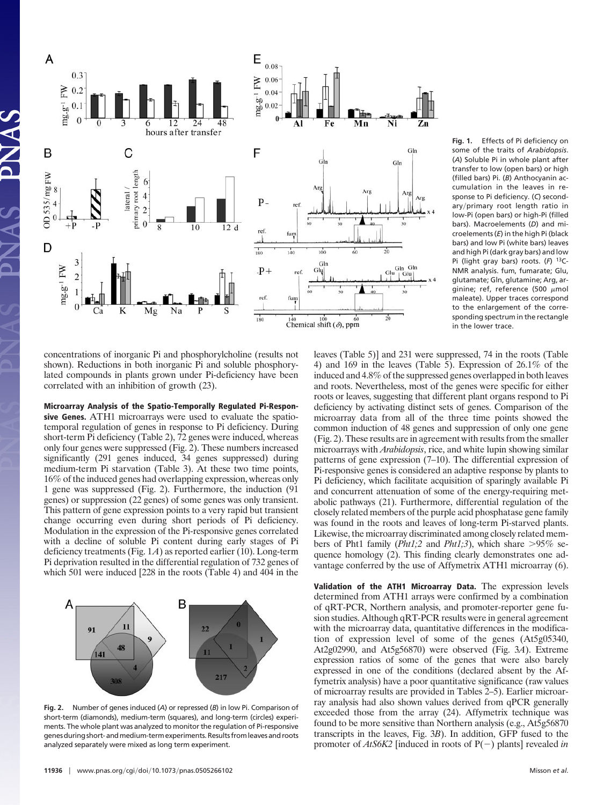

**Fig. 1.** Effects of Pi deficiency on some of the traits of *Arabidopsis*. (*A*) Soluble Pi in whole plant after transfer to low (open bars) or high (filled bars) Pi. (*B*) Anthocyanin accumulation in the leaves in response to Pi deficiency. (*C*) secondary/primary root length ratio in low-Pi (open bars) or high-Pi (filled bars). Macroelements (*D*) and microelements (*E*) in the high Pi (black bars) and low Pi (white bars) leaves and high Pi (dark gray bars) and low Pi (light gray bars) roots. (*F*) 13C-NMR analysis. fum, fumarate; Glu, glutamate; Gln, glutamine; Arg, arginine; ref, reference (500  $\mu$ mol maleate). Upper traces correspond to the enlargement of the corresponding spectrum in the rectangle in the lower trace.

concentrations of inorganic Pi and phosphorylcholine (results not shown). Reductions in both inorganic Pi and soluble phosphorylated compounds in plants grown under Pi-deficiency have been correlated with an inhibition of growth (23).

**Microarray Analysis of the Spatio-Temporally Regulated Pi-Responsive Genes.** ATH1 microarrays were used to evaluate the spatiotemporal regulation of genes in response to Pi deficiency. During short-term Pi deficiency (Table 2), 72 genes were induced, whereas only four genes were suppressed (Fig. 2). These numbers increased significantly (291 genes induced, 34 genes suppressed) during medium-term Pi starvation (Table 3). At these two time points, 16% of the induced genes had overlapping expression, whereas only 1 gene was suppressed (Fig. 2). Furthermore, the induction (91 genes) or suppression (22 genes) of some genes was only transient. This pattern of gene expression points to a very rapid but transient change occurring even during short periods of Pi deficiency. Modulation in the expression of the Pi-responsive genes correlated with a decline of soluble Pi content during early stages of Pi deficiency treatments (Fig. 1*A*) as reported earlier (10). Long-term Pi deprivation resulted in the differential regulation of 732 genes of which 501 were induced [228 in the roots (Table 4) and 404 in the



**Fig. 2.** Number of genes induced (*A*) or repressed (*B*) in low Pi. Comparison of short-term (diamonds), medium-term (squares), and long-term (circles) experiments. The whole plant was analyzed to monitor the regulation of Pi-responsive genes during short- and medium-term experiments. Results from leaves and roots analyzed separately were mixed as long term experiment.

leaves (Table 5)] and 231 were suppressed, 74 in the roots (Table 4) and 169 in the leaves (Table 5). Expression of 26.1% of the induced and 4.8% of the suppressed genes overlapped in both leaves and roots. Nevertheless, most of the genes were specific for either roots or leaves, suggesting that different plant organs respond to Pi deficiency by activating distinct sets of genes. Comparison of the microarray data from all of the three time points showed the common induction of 48 genes and suppression of only one gene (Fig. 2). These results are in agreement with results from the smaller microarrays with *Arabidopsis*, rice, and white lupin showing similar patterns of gene expression (7–10). The differential expression of Pi-responsive genes is considered an adaptive response by plants to Pi deficiency, which facilitate acquisition of sparingly available Pi and concurrent attenuation of some of the energy-requiring metabolic pathways (21). Furthermore, differential regulation of the closely related members of the purple acid phosphatase gene family was found in the roots and leaves of long-term Pi-starved plants. Likewise, the microarray discriminated among closely related members of Pht1 family  $(Pht1;2$  and  $Pht1;3)$ , which share  $>95\%$  sequence homology (2). This finding clearly demonstrates one advantage conferred by the use of Affymetrix ATH1 microarray (6).

**Validation of the ATH1 Microarray Data.** The expression levels determined from ATH1 arrays were confirmed by a combination of qRT-PCR, Northern analysis, and promoter-reporter gene fusion studies. Although qRT-PCR results were in general agreement with the microarray data, quantitative differences in the modification of expression level of some of the genes (At5g05340, At2g02990, and At5g56870) were observed (Fig. 3*A*). Extreme expression ratios of some of the genes that were also barely expressed in one of the conditions (declared absent by the Affymetrix analysis) have a poor quantitative significance (raw values of microarray results are provided in Tables 2–5). Earlier microarray analysis had also shown values derived from qPCR generally exceeded those from the array (24). Affymetrix technique was found to be more sensitive than Northern analysis (e.g., At5g56870 transcripts in the leaves, Fig. 3*B*). In addition, GFP fused to the promoter of  $AtS6K2$  [induced in roots of  $P(-)$  plants] revealed *in*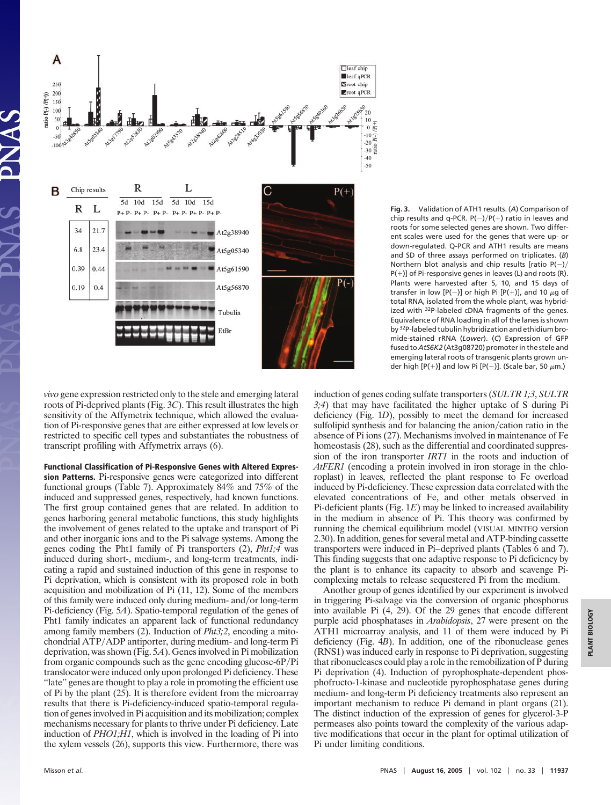

**Fig. 3.** Validation of ATH1 results. (*A*) Comparison of chip results and q-PCR.  $P(-)/P(+)$  ratio in leaves and roots for some selected genes are shown. Two different scales were used for the genes that were up- or down-regulated. Q-PCR and ATH1 results are means and SD of three assays performed on triplicates. (*B*) Northern blot analysis and chip results [ratio  $P(-)/$  $P(+)$ ] of Pi-responsive genes in leaves (L) and roots (R). Plants were harvested after 5, 10, and 15 days of transfer in low  $[P(-)]$  or high Pi  $[P(+)]$ , and 10  $\mu$ g of total RNA, isolated from the whole plant, was hybridized with 32P-labeled cDNA fragments of the genes. Equivalence of RNA loading in all of the lanes is shown by 32P-labeled tubulin hybridization and ethidium bromide-stained rRNA (*Lower*). (*C*) Expression of GFP fused to *AtS6K2* (At3g08720) promoter in the stele and emerging lateral roots of transgenic plants grown under high  $[P(+)]$  and low Pi  $[P(-)]$ . (Scale bar, 50  $\mu$ m.)

*vivo* gene expression restricted only to the stele and emerging lateral roots of Pi-deprived plants (Fig. 3*C*). This result illustrates the high sensitivity of the Affymetrix technique, which allowed the evaluation of Pi-responsive genes that are either expressed at low levels or restricted to specific cell types and substantiates the robustness of transcript profiling with Affymetrix arrays (6).

**Functional Classification of Pi-Responsive Genes with Altered Expression Patterns.** Pi-responsive genes were categorized into different functional groups (Table 7). Approximately 84% and 75% of the induced and suppressed genes, respectively, had known functions. The first group contained genes that are related. In addition to genes harboring general metabolic functions, this study highlights the involvement of genes related to the uptake and transport of Pi and other inorganic ions and to the Pi salvage systems. Among the genes coding the Pht1 family of Pi transporters (2), *Pht1;4* was induced during short-, medium-, and long-term treatments, indicating a rapid and sustained induction of this gene in response to Pi deprivation, which is consistent with its proposed role in both acquisition and mobilization of Pi (11, 12). Some of the members of this family were induced only during medium- and/or long-term Pi-deficiency (Fig. 5*A*). Spatio-temporal regulation of the genes of Pht1 family indicates an apparent lack of functional redundancy among family members (2). Induction of *Pht3;2*, encoding a mitochondrial ATP/ADP antiporter, during medium- and long-term Pi deprivation, was shown (Fig. 5*A*). Genes involved in Pi mobilization from organic compounds such as the gene encoding glucose-6P/Pi translocator were induced only upon prolonged Pi deficiency. These ''late'' genes are thought to play a role in promoting the efficient use of Pi by the plant (25). It is therefore evident from the microarray results that there is Pi-deficiency-induced spatio-temporal regulation of genes involved in Pi acquisition and its mobilization; complex mechanisms necessary for plants to thrive under Pi deficiency. Late induction of *PHO1;H1*, which is involved in the loading of Pi into the xylem vessels (26), supports this view. Furthermore, there was induction of genes coding sulfate transporters (*SULTR 1;3*, *SULTR 3;4*) that may have facilitated the higher uptake of S during Pi deficiency (Fig. 1*D*), possibly to meet the demand for increased sulfolipid synthesis and for balancing the anion/cation ratio in the absence of Pi ions (27). Mechanisms involved in maintenance of Fe homeostasis (28), such as the differential and coordinated suppression of the iron transporter *IRT1* in the roots and induction of *AtFER1* (encoding a protein involved in iron storage in the chloroplast) in leaves, reflected the plant response to Fe overload induced by Pi-deficiency. These expression data correlated with the elevated concentrations of Fe, and other metals observed in Pi-deficient plants (Fig. 1*E*) may be linked to increased availability in the medium in absence of Pi. This theory was confirmed by running the chemical equilibrium model (VISUAL MINTEQ version 2.30). In addition, genes for several metal and ATP-binding cassette transporters were induced in Pi–deprived plants (Tables 6 and 7). This finding suggests that one adaptive response to Pi deficiency by the plant is to enhance its capacity to absorb and scavenge Picomplexing metals to release sequestered Pi from the medium.

Another group of genes identified by our experiment is involved in triggering Pi-salvage via the conversion of organic phosphorus into available Pi (4, 29). Of the 29 genes that encode different purple acid phosphatases in *Arabidopsis*, 27 were present on the ATH1 microarray analysis, and 11 of them were induced by Pi deficiency (Fig. 4*B*). In addition, one of the ribonuclease genes (RNS1) was induced early in response to Pi deprivation, suggesting that ribonucleases could play a role in the remobilization of P during Pi deprivation (4). Induction of pyrophosphate-dependent phosphofructo-1-kinase and nucleotide pyrophosphatase genes during medium- and long-term Pi deficiency treatments also represent an important mechanism to reduce Pi demand in plant organs (21). The distinct induction of the expression of genes for glycerol-3-P permeases also points toward the complexity of the various adaptive modifications that occur in the plant for optimal utilization of Pi under limiting conditions.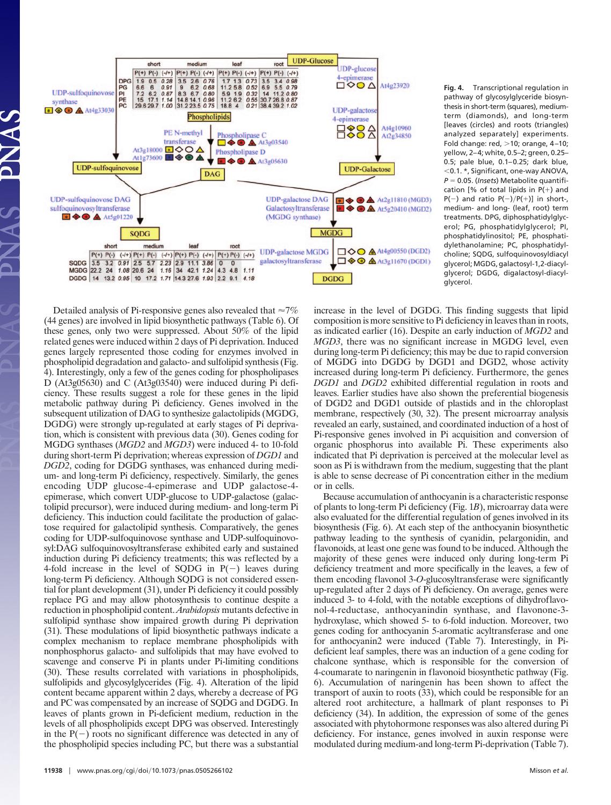

**Fig. 4.** Transcriptional regulation in pathway of glycosylglyceride biosynthesis in short-term (squares), mediumterm (diamonds), and long-term [leaves (circles) and roots (triangles) analyzed separately] experiments. Fold change: red,  $>$ 10; orange, 4–10; yellow, 2–4; white, 0.5–2; green, 0.25– 0.5; pale blue, 0.1–0.25; dark blue, 0.1. \*, Significant, one-way ANOVA, *P* 0.05. (*Insets*) Metabolite quantification [% of total lipids in  $P(+)$  and  $P(-)$  and ratio  $P(-)/P(+)]$  in short-, medium- and long- (leaf, root) term treatments. DPG, diphosphatidylglycerol; PG, phosphatidylglycerol; PI, phosphatidylinositol; PE, phosphatidylethanolamine; PC, phosphatidylcholine; SQDG, sulfoquinovosyldiacyl glycerol; MGDG, galactosyl-1,2-diacylglycerol; DGDG, digalactosyl-diacylglycerol.

Detailed analysis of Pi-responsive genes also revealed that  $\approx$ 7% (44 genes) are involved in lipid biosynthetic pathways (Table 6). Of these genes, only two were suppressed. About 50% of the lipid related genes were induced within 2 days of Pi deprivation. Induced genes largely represented those coding for enzymes involved in phospholipid degradation and galacto- and sulfolipid synthesis (Fig. 4). Interestingly, only a few of the genes coding for phospholipases D (At3g05630) and C (At3g03540) were induced during Pi deficiency. These results suggest a role for these genes in the lipid metabolic pathway during Pi deficiency. Genes involved in the subsequent utilization of DAG to synthesize galactolipids (MGDG, DGDG) were strongly up-regulated at early stages of Pi deprivation, which is consistent with previous data (30). Genes coding for MGDG synthases (*MGD2* and *MGD3*) were induced 4- to 10-fold during short-term Pi deprivation; whereas expression of *DGD1* and *DGD2*, coding for DGDG synthases, was enhanced during medium- and long-term Pi deficiency, respectively. Similarly, the genes encoding UDP glucose-4-epimerase and UDP galactose-4 epimerase, which convert UDP-glucose to UDP-galactose (galactolipid precursor), were induced during medium- and long-term Pi deficiency. This induction could facilitate the production of galactose required for galactolipid synthesis. Comparatively, the genes coding for UDP-sulfoquinovose synthase and UDP-sulfoquinovosyl:DAG sulfoquinovosyltransferase exhibited early and sustained induction during Pi deficiency treatments; this was reflected by a 4-fold increase in the level of SQDG in  $P(-)$  leaves during long-term Pi deficiency. Although SQDG is not considered essential for plant development (31), under Pi deficiency it could possibly replace PG and may allow photosynthesis to continue despite a reduction in phospholipid content. *Arabidopsis* mutants defective in sulfolipid synthase show impaired growth during Pi deprivation (31). These modulations of lipid biosynthetic pathways indicate a complex mechanism to replace membrane phospholipids with nonphosphorus galacto- and sulfolipids that may have evolved to scavenge and conserve Pi in plants under Pi-limiting conditions (30). These results correlated with variations in phospholipids, sulfolipids and glycosylglycerides (Fig. 4). Alteration of the lipid content became apparent within 2 days, whereby a decrease of PG and PC was compensated by an increase of SQDG and DGDG. In leaves of plants grown in Pi-deficient medium, reduction in the levels of all phospholipids except DPG was observed. Interestingly in the  $P(-)$  roots no significant difference was detected in any of the phospholipid species including PC, but there was a substantial increase in the level of DGDG. This finding suggests that lipid composition is more sensitive to Pi deficiency in leaves than in roots, as indicated earlier (16). Despite an early induction of *MGD2* and *MGD3*, there was no significant increase in MGDG level, even during long-term Pi deficiency; this may be due to rapid conversion of MGDG into DGDG by DGD1 and DGD2, whose activity increased during long-term Pi deficiency. Furthermore, the genes *DGD1* and *DGD2* exhibited differential regulation in roots and leaves. Earlier studies have also shown the preferential biogenesis of DGD2 and DGD1 outside of plastids and in the chloroplast membrane, respectively (30, 32). The present microarray analysis revealed an early, sustained, and coordinated induction of a host of Pi-responsive genes involved in Pi acquisition and conversion of organic phosphorus into available Pi. These experiments also indicated that Pi deprivation is perceived at the molecular level as soon as Pi is withdrawn from the medium, suggesting that the plant is able to sense decrease of Pi concentration either in the medium or in cells.

Because accumulation of anthocyanin is a characteristic response of plants to long-term Pi deficiency (Fig. 1*B*), microarray data were also evaluated for the differential regulation of genes involved in its biosynthesis (Fig. 6). At each step of the anthocyanin biosynthetic pathway leading to the synthesis of cyanidin, pelargonidin, and flavonoids, at least one gene was found to be induced. Although the majority of these genes were induced only during long-term Pi deficiency treatment and more specifically in the leaves, a few of them encoding flavonol 3-*O*-glucosyltransferase were significantly up-regulated after 2 days of Pi deficiency. On average, genes were induced 3- to 4-fold, with the notable exceptions of dihydroflavonol-4-reductase, anthocyanindin synthase, and flavonone-3 hydroxylase, which showed 5- to 6-fold induction. Moreover, two genes coding for anthocyanin 5-aromatic acyltransferase and one for anthocyanin2 were induced (Table 7). Interestingly, in Pideficient leaf samples, there was an induction of a gene coding for chalcone synthase, which is responsible for the conversion of 4-coumarate to naringenin in flavonoid biosynthetic pathway (Fig. 6). Accumulation of naringenin has been shown to affect the transport of auxin to roots (33), which could be responsible for an altered root architecture, a hallmark of plant responses to Pi deficiency (34). In addition, the expression of some of the genes associated with phytohormone responses was also altered during Pi deficiency. For instance, genes involved in auxin response were modulated during medium-and long-term Pi-deprivation (Table 7).